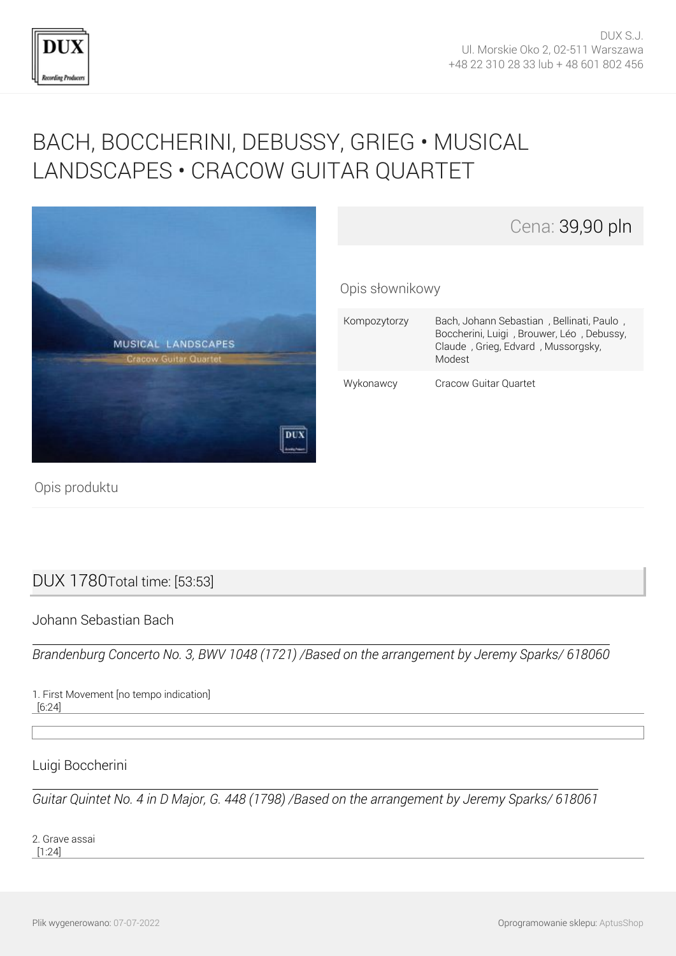

# [BACH, BOCCHERINI, DEBUSSY, GRIEG • MUSICAL](http://www.dux.pl/bach-boccherini-debussy-grieg-musical-landscapes-cracow-guitar-quartet.html) [LANDSCAPES • CRACOW GUITAR QUARTET](http://www.dux.pl/bach-boccherini-debussy-grieg-musical-landscapes-cracow-guitar-quartet.html)





Opis produktu

# DUX 1780Total time: [53:53]

Johann Sebastian Bach

*Brandenburg Concerto No. 3, BWV 1048 (1721) /Based on the arrangement by Jeremy Sparks/ 618060*

1. First Movement [no tempo indication] [6:24]

Luigi Boccherini

*Guitar Quintet No. 4 in D Major, G. 448 (1798) /Based on the arrangement by Jeremy Sparks/ 618061*

2. Grave assai [1:24]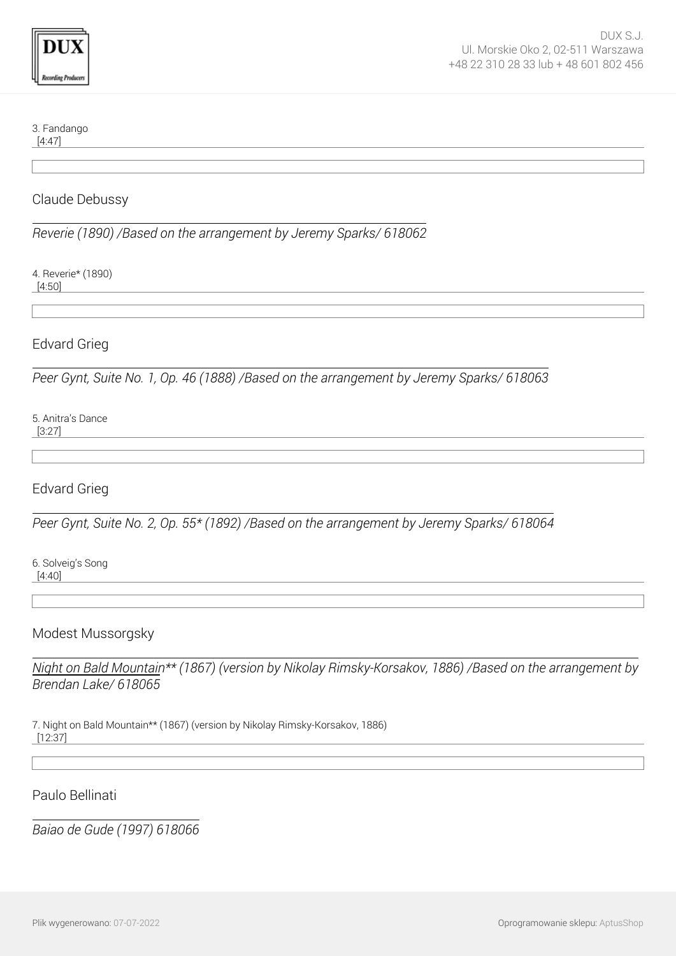#### 3. Fandango

[4:47]

#### Claude Debussy

*Reverie (1890) /Based on the arrangement by Jeremy Sparks/ 618062*

4. Reverie\* (1890)

[4:50]

## Edvard Grieg

*Peer Gynt, Suite No. 1, Op. 46 (1888) /Based on the arrangement by Jeremy Sparks/ 618063*

5. Anitra's Dance [3:27]

## Edvard Grieg

*Peer Gynt, Suite No. 2, Op. 55\* (1892) /Based on the arrangement by Jeremy Sparks/ 618064*

6. Solveig's Song [4:40]

#### Modest Mussorgsky

*Night on Bald Mountain\*\* (1867) (version by Nikolay Rimsky-Korsakov, 1886) /Based on the arrangement by Brendan Lake/ 618065*

7. Night on Bald Mountain\*\* (1867) (version by Nikolay Rimsky-Korsakov, 1886) [12:37]

#### Paulo Bellinati

*Baiao de Gude (1997) 618066*